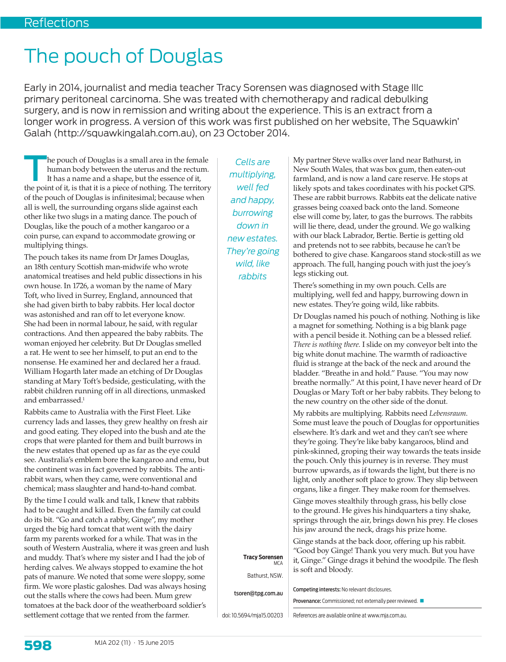## The pouch of Douglas

Early in 2014, journalist and media teacher Tracy Sorensen was diagnosed with Stage IIIc primary peritoneal carcinoma. She was treated with chemotherapy and radical debulking surgery, and is now in remission and writing about the experience. This is an extract from a longer work in progress. A version of this work was first published on her website, The Squawkin' Galah (http://squawkingalah.com.au), on 23 October 2014.

The pouch of Douglas is a small area in the female<br>human body between the uterus and the rectum.<br>It has a name and a shape, but the essence of it,<br>the point of it is that it is a glianal function. The terminal human body between the uterus and the rectum. It has a name and a shape, but the essence of it, the point of it, is that it is a piece of nothing. The territory of the pouch of Douglas is infinitesimal; because when all is well, the surrounding organs slide against each other like two slugs in a mating dance. The pouch of Douglas, like the pouch of a mother kangaroo or a coin purse, can expand to accommodate growing or multiplying things.

The pouch takes its name from Dr James Douglas, an 18th century Scottish man-midwife who wrote anatomical treatises and held public dissections in his own house. In 1726, a woman by the name of Mary Toft, who lived in Surrey, England, announced that she had given birth to baby rabbits. Her local doctor was astonished and ran off to let everyone know. She had been in normal labour, he said, with regular contractions. And then appeared the baby rabbits. The woman enjoyed her celebrity. But Dr Douglas smelled a rat. He went to see her himself, to put an end to the nonsense. He examined her and declared her a fraud. William Hogarth later made an etching of Dr Douglas standing at Mary Toft's bedside, gesticulating, with the rabbit children running off in all directions, unmasked and embarrassed.<sup>1</sup>

Rabbits came to Australia with the First Fleet. Like currency lads and lasses, they grew healthy on fresh air and good eating. They eloped into the bush and ate the crops that were planted for them and built burrows in the new estates that opened up as far as the eye could see. Australia's emblem bore the kangaroo and emu, but the continent was in fact governed by rabbits. The antirabbit wars, when they came, were conventional and chemical; mass slaughter and hand-to-hand combat.

By the time I could walk and talk, I knew that rabbits had to be caught and killed. Even the family cat could do its bit. "Go and catch a rabby, Ginge", my mother urged the big hard tomcat that went with the dairy farm my parents worked for a while. That was in the south of Western Australia, where it was green and lush and muddy. That's where my sister and I had the job of herding calves. We always stopped to examine the hot pats of manure. We noted that some were sloppy, some firm. We wore plastic galoshes. Dad was always hosing out the stalls where the cows had been. Mum grew tomatoes at the back door of the weatherboard soldier's settlement cottage that we rented from the farmer.

*Cells are multiplying, well fed and happy, burrowing down in new estates. They're going wild, like rabbits*

My partner Steve walks over land near Bathurst, in New South Wales, that was box gum, then eaten-out farmland, and is now a land care reserve. He stops at likely spots and takes coordinates with his pocket GPS. These are rabbit burrows. Rabbits eat the delicate native grasses being coaxed back onto the land. Someone else will come by, later, to gas the burrows. The rabbits will lie there, dead, under the ground. We go walking with our black Labrador, Bertie. Bertie is getting old and pretends not to see rabbits, because he can't be bothered to give chase. Kangaroos stand stock-still as we approach. The full, hanging pouch with just the joey's legs sticking out.

There's something in my own pouch. Cells are multiplying, well fed and happy, burrowing down in new estates. They're going wild, like rabbits.

Dr Douglas named his pouch of nothing. Nothing is like a magnet for something. Nothing is a big blank page with a pencil beside it. Nothing can be a blessed relief. *There is nothing there.* I slide on my conveyor belt into the big white donut machine. The warmth of radioactive fluid is strange at the back of the neck and around the bladder. "Breathe in and hold." Pause. "You may now breathe normally." At this point, I have never heard of Dr Douglas or Mary Toft or her baby rabbits. They belong to the new country on the other side of the donut.

My rabbits are multiplying. Rabbits need *Lebensraum*. Some must leave the pouch of Douglas for opportunities elsewhere. It's dark and wet and they can't see where they're going. They're like baby kangaroos, blind and pink-skinned, groping their way towards the teats inside the pouch. Only this journey is in reverse. They must burrow upwards, as if towards the light, but there is no light, only another soft place to grow. They slip between organs, like a finger. They make room for themselves.

Ginge moves stealthily through grass, his belly close to the ground. He gives his hindquarters a tiny shake, springs through the air, brings down his prey. He closes his jaw around the neck, drags his prize home.

Ginge stands at the back door, offering up his rabbit. "Good boy Ginge! Thank you very much. But you have it, Ginge." Ginge drags it behind the woodpile. The flesh is soft and bloody.

Competing interests: No relevant disclosures.

Provenance: Commissioned; not externally peer reviewed.

doi: 10.5694/mja15.00203

 **Tracy Sorensen**  M<sub>C</sub>A

Bathurst, NSW.

tsoren@tpg.com.au

References are available online at www.mja.com.au.